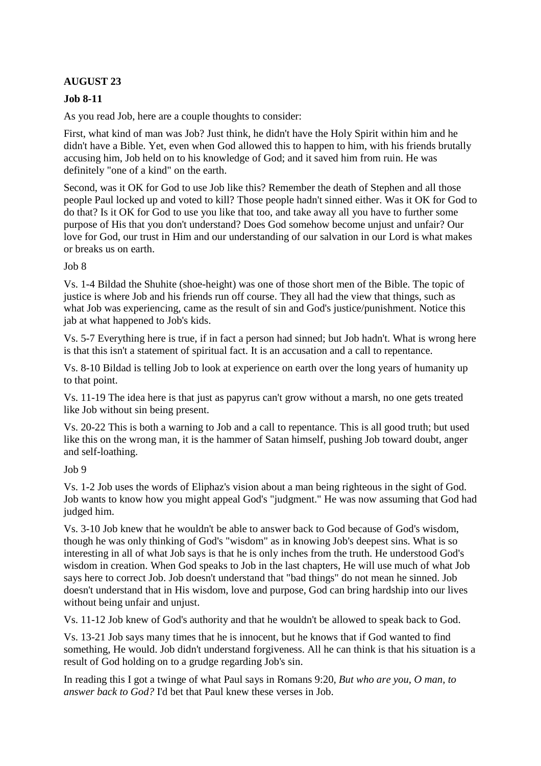# **AUGUST 23**

### **Job 8-11**

As you read Job, here are a couple thoughts to consider:

First, what kind of man was Job? Just think, he didn't have the Holy Spirit within him and he didn't have a Bible. Yet, even when God allowed this to happen to him, with his friends brutally accusing him, Job held on to his knowledge of God; and it saved him from ruin. He was definitely "one of a kind" on the earth.

Second, was it OK for God to use Job like this? Remember the death of Stephen and all those people Paul locked up and voted to kill? Those people hadn't sinned either. Was it OK for God to do that? Is it OK for God to use you like that too, and take away all you have to further some purpose of His that you don't understand? Does God somehow become unjust and unfair? Our love for God, our trust in Him and our understanding of our salvation in our Lord is what makes or breaks us on earth.

#### Job 8

Vs. 1-4 Bildad the Shuhite (shoe-height) was one of those short men of the Bible. The topic of justice is where Job and his friends run off course. They all had the view that things, such as what Job was experiencing, came as the result of sin and God's justice/punishment. Notice this jab at what happened to Job's kids.

Vs. 5-7 Everything here is true, if in fact a person had sinned; but Job hadn't. What is wrong here is that this isn't a statement of spiritual fact. It is an accusation and a call to repentance.

Vs. 8-10 Bildad is telling Job to look at experience on earth over the long years of humanity up to that point.

Vs. 11-19 The idea here is that just as papyrus can't grow without a marsh, no one gets treated like Job without sin being present.

Vs. 20-22 This is both a warning to Job and a call to repentance. This is all good truth; but used like this on the wrong man, it is the hammer of Satan himself, pushing Job toward doubt, anger and self-loathing.

#### Job 9

Vs. 1-2 Job uses the words of Eliphaz's vision about a man being righteous in the sight of God. Job wants to know how you might appeal God's "judgment." He was now assuming that God had judged him.

Vs. 3-10 Job knew that he wouldn't be able to answer back to God because of God's wisdom, though he was only thinking of God's "wisdom" as in knowing Job's deepest sins. What is so interesting in all of what Job says is that he is only inches from the truth. He understood God's wisdom in creation. When God speaks to Job in the last chapters, He will use much of what Job says here to correct Job. Job doesn't understand that "bad things" do not mean he sinned. Job doesn't understand that in His wisdom, love and purpose, God can bring hardship into our lives without being unfair and unjust.

Vs. 11-12 Job knew of God's authority and that he wouldn't be allowed to speak back to God.

Vs. 13-21 Job says many times that he is innocent, but he knows that if God wanted to find something, He would. Job didn't understand forgiveness. All he can think is that his situation is a result of God holding on to a grudge regarding Job's sin.

In reading this I got a twinge of what Paul says in Romans 9:20, *But who are you, O man, to answer back to God?* I'd bet that Paul knew these verses in Job.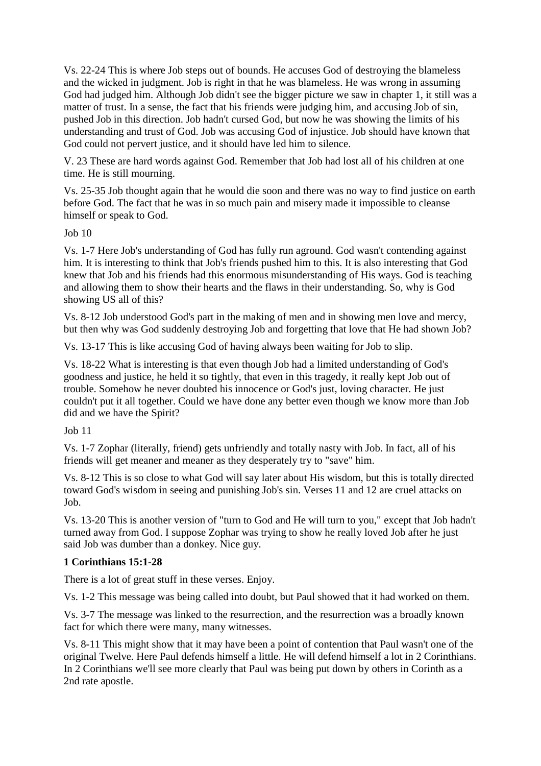Vs. 22-24 This is where Job steps out of bounds. He accuses God of destroying the blameless and the wicked in judgment. Job is right in that he was blameless. He was wrong in assuming God had judged him. Although Job didn't see the bigger picture we saw in chapter 1, it still was a matter of trust. In a sense, the fact that his friends were judging him, and accusing Job of sin, pushed Job in this direction. Job hadn't cursed God, but now he was showing the limits of his understanding and trust of God. Job was accusing God of injustice. Job should have known that God could not pervert justice, and it should have led him to silence.

V. 23 These are hard words against God. Remember that Job had lost all of his children at one time. He is still mourning.

Vs. 25-35 Job thought again that he would die soon and there was no way to find justice on earth before God. The fact that he was in so much pain and misery made it impossible to cleanse himself or speak to God.

Job 10

Vs. 1-7 Here Job's understanding of God has fully run aground. God wasn't contending against him. It is interesting to think that Job's friends pushed him to this. It is also interesting that God knew that Job and his friends had this enormous misunderstanding of His ways. God is teaching and allowing them to show their hearts and the flaws in their understanding. So, why is God showing US all of this?

Vs. 8-12 Job understood God's part in the making of men and in showing men love and mercy, but then why was God suddenly destroying Job and forgetting that love that He had shown Job?

Vs. 13-17 This is like accusing God of having always been waiting for Job to slip.

Vs. 18-22 What is interesting is that even though Job had a limited understanding of God's goodness and justice, he held it so tightly, that even in this tragedy, it really kept Job out of trouble. Somehow he never doubted his innocence or God's just, loving character. He just couldn't put it all together. Could we have done any better even though we know more than Job did and we have the Spirit?

Job 11

Vs. 1-7 Zophar (literally, friend) gets unfriendly and totally nasty with Job. In fact, all of his friends will get meaner and meaner as they desperately try to "save" him.

Vs. 8-12 This is so close to what God will say later about His wisdom, but this is totally directed toward God's wisdom in seeing and punishing Job's sin. Verses 11 and 12 are cruel attacks on Job.

Vs. 13-20 This is another version of "turn to God and He will turn to you," except that Job hadn't turned away from God. I suppose Zophar was trying to show he really loved Job after he just said Job was dumber than a donkey. Nice guy.

## **1 Corinthians 15:1-28**

There is a lot of great stuff in these verses. Enjoy.

Vs. 1-2 This message was being called into doubt, but Paul showed that it had worked on them.

Vs. 3-7 The message was linked to the resurrection, and the resurrection was a broadly known fact for which there were many, many witnesses.

Vs. 8-11 This might show that it may have been a point of contention that Paul wasn't one of the original Twelve. Here Paul defends himself a little. He will defend himself a lot in 2 Corinthians. In 2 Corinthians we'll see more clearly that Paul was being put down by others in Corinth as a 2nd rate apostle.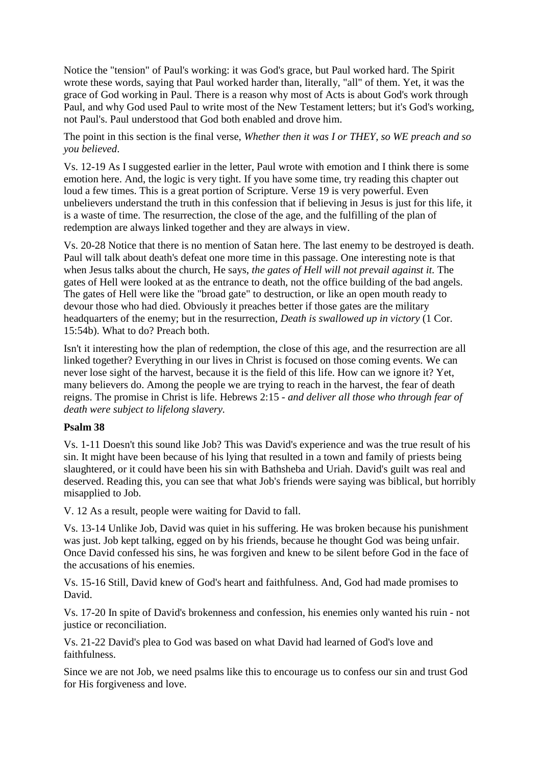Notice the "tension" of Paul's working: it was God's grace, but Paul worked hard. The Spirit wrote these words, saying that Paul worked harder than, literally, "all" of them. Yet, it was the grace of God working in Paul. There is a reason why most of Acts is about God's work through Paul, and why God used Paul to write most of the New Testament letters; but it's God's working, not Paul's. Paul understood that God both enabled and drove him.

The point in this section is the final verse, *Whether then it was I or THEY, so WE preach and so you believed*.

Vs. 12-19 As I suggested earlier in the letter, Paul wrote with emotion and I think there is some emotion here. And, the logic is very tight. If you have some time, try reading this chapter out loud a few times. This is a great portion of Scripture. Verse 19 is very powerful. Even unbelievers understand the truth in this confession that if believing in Jesus is just for this life, it is a waste of time. The resurrection, the close of the age, and the fulfilling of the plan of redemption are always linked together and they are always in view.

Vs. 20-28 Notice that there is no mention of Satan here. The last enemy to be destroyed is death. Paul will talk about death's defeat one more time in this passage. One interesting note is that when Jesus talks about the church, He says, *the gates of Hell will not prevail against it.* The gates of Hell were looked at as the entrance to death, not the office building of the bad angels. The gates of Hell were like the "broad gate" to destruction, or like an open mouth ready to devour those who had died. Obviously it preaches better if those gates are the military headquarters of the enemy; but in the resurrection, *Death is swallowed up in victory* (1 Cor. 15:54b). What to do? Preach both.

Isn't it interesting how the plan of redemption, the close of this age, and the resurrection are all linked together? Everything in our lives in Christ is focused on those coming events. We can never lose sight of the harvest, because it is the field of this life. How can we ignore it? Yet, many believers do. Among the people we are trying to reach in the harvest, the fear of death reigns. The promise in Christ is life. Hebrews 2:15 - *and deliver all those who through fear of death were subject to lifelong slavery.* 

#### **Psalm 38**

Vs. 1-11 Doesn't this sound like Job? This was David's experience and was the true result of his sin. It might have been because of his lying that resulted in a town and family of priests being slaughtered, or it could have been his sin with Bathsheba and Uriah. David's guilt was real and deserved. Reading this, you can see that what Job's friends were saying was biblical, but horribly misapplied to Job.

V. 12 As a result, people were waiting for David to fall.

Vs. 13-14 Unlike Job, David was quiet in his suffering. He was broken because his punishment was just. Job kept talking, egged on by his friends, because he thought God was being unfair. Once David confessed his sins, he was forgiven and knew to be silent before God in the face of the accusations of his enemies.

Vs. 15-16 Still, David knew of God's heart and faithfulness. And, God had made promises to David.

Vs. 17-20 In spite of David's brokenness and confession, his enemies only wanted his ruin - not justice or reconciliation.

Vs. 21-22 David's plea to God was based on what David had learned of God's love and faithfulness.

Since we are not Job, we need psalms like this to encourage us to confess our sin and trust God for His forgiveness and love.